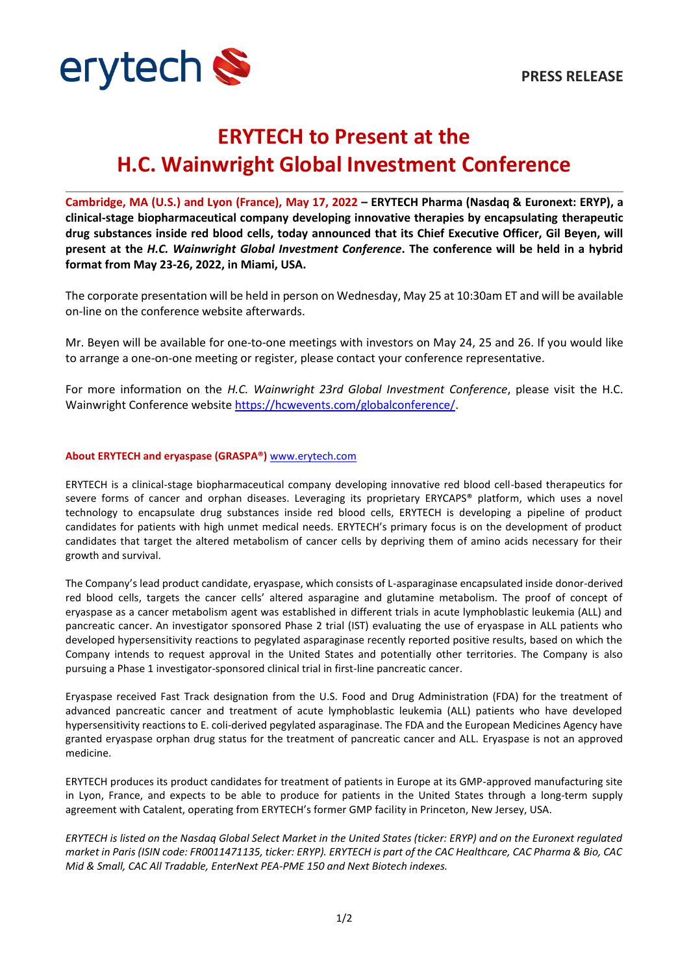

## **ERYTECH to Present at the H.C. Wainwright Global Investment Conference**

**Cambridge, MA (U.S.) and Lyon (France), May 17, 2022 – ERYTECH Pharma (Nasdaq & Euronext: ERYP), a clinical-stage biopharmaceutical company developing innovative therapies by encapsulating therapeutic drug substances inside red blood cells, today announced that its Chief Executive Officer, Gil Beyen, will present at the** *H.C. Wainwright Global Investment Conference***. The conference will be held in a hybrid format from May 23-26, 2022, in Miami, USA.**

The corporate presentation will be held in person on Wednesday, May 25 at 10:30am ET and will be available on-line on the conference website afterwards.

Mr. Beyen will be available for one-to-one meetings with investors on May 24, 25 and 26. If you would like to arrange a one-on-one meeting or register, please contact your conference representative.

For more information on the *H.C. Wainwright 23rd Global Investment Conference*, please visit the H.C. Wainwright Conference website [https://hcwevents.com/globalconference/.](https://hcwevents.com/globalconference/)

## **About ERYTECH and eryaspase (GRASPA®)** [www.erytech.com](http://www.erytech.com/)

ERYTECH is a clinical-stage biopharmaceutical company developing innovative red blood cell-based therapeutics for severe forms of cancer and orphan diseases. Leveraging its proprietary ERYCAPS® platform, which uses a novel technology to encapsulate drug substances inside red blood cells, ERYTECH is developing a pipeline of product candidates for patients with high unmet medical needs. ERYTECH's primary focus is on the development of product candidates that target the altered metabolism of cancer cells by depriving them of amino acids necessary for their growth and survival.

The Company's lead product candidate, eryaspase, which consists of L-asparaginase encapsulated inside donor-derived red blood cells, targets the cancer cells' altered asparagine and glutamine metabolism. The proof of concept of eryaspase as a cancer metabolism agent was established in different trials in acute lymphoblastic leukemia (ALL) and pancreatic cancer. An investigator sponsored Phase 2 trial (IST) evaluating the use of eryaspase in ALL patients who developed hypersensitivity reactions to pegylated asparaginase recently reported positive results, based on which the Company intends to request approval in the United States and potentially other territories. The Company is also pursuing a Phase 1 investigator-sponsored clinical trial in first-line pancreatic cancer.

Eryaspase received Fast Track designation from the U.S. Food and Drug Administration (FDA) for the treatment of advanced pancreatic cancer and treatment of acute lymphoblastic leukemia (ALL) patients who have developed hypersensitivity reactions to E. coli-derived pegylated asparaginase. The FDA and the European Medicines Agency have granted eryaspase orphan drug status for the treatment of pancreatic cancer and ALL. Eryaspase is not an approved medicine.

ERYTECH produces its product candidates for treatment of patients in Europe at its GMP-approved manufacturing site in Lyon, France, and expects to be able to produce for patients in the United States through a long-term supply agreement with Catalent, operating from ERYTECH's former GMP facility in Princeton, New Jersey, USA.

*ERYTECH is listed on the Nasdaq Global Select Market in the United States (ticker: ERYP) and on the Euronext regulated market in Paris (ISIN code: FR0011471135, ticker: ERYP). ERYTECH is part of the CAC Healthcare, CAC Pharma & Bio, CAC Mid & Small, CAC All Tradable, EnterNext PEA-PME 150 and Next Biotech indexes.*